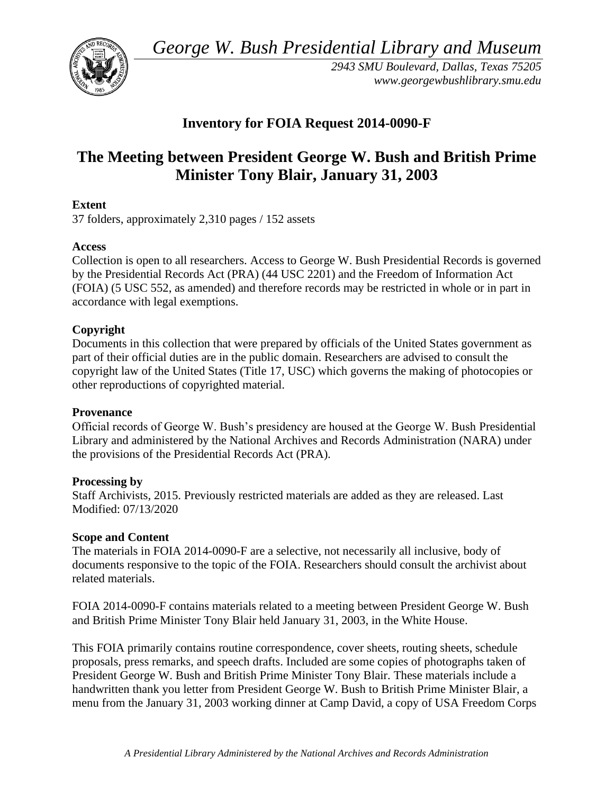*George W. Bush Presidential Library and Museum* 



*2943 SMU Boulevard, Dallas, Texas 75205 <www.georgewbushlibrary.smu.edu>*

# **Inventory for FOIA Request 2014-0090-F**

# **The Meeting between President George W. Bush and British Prime Minister Tony Blair, January 31, 2003**

# **Extent**

37 folders, approximately 2,310 pages / 152 assets

# **Access**

Collection is open to all researchers. Access to George W. Bush Presidential Records is governed by the Presidential Records Act (PRA) (44 USC 2201) and the Freedom of Information Act (FOIA) (5 USC 552, as amended) and therefore records may be restricted in whole or in part in accordance with legal exemptions.

# **Copyright**

Documents in this collection that were prepared by officials of the United States government as part of their official duties are in the public domain. Researchers are advised to consult the copyright law of the United States (Title 17, USC) which governs the making of photocopies or other reproductions of copyrighted material.

## **Provenance**

 Official records of George W. Bush's presidency are housed at the George W. Bush Presidential Library and administered by the National Archives and Records Administration (NARA) under the provisions of the Presidential Records Act (PRA).

## **Processing by**

Staff Archivists, 2015. Previously restricted materials are added as they are released. Last Modified: 07/13/2020

## **Scope and Content**

 The materials in FOIA 2014-0090-F are a selective, not necessarily all inclusive, body of documents responsive to the topic of the FOIA. Researchers should consult the archivist about related materials.

FOIA 2014-0090-F contains materials related to a meeting between President George W. Bush and British Prime Minister Tony Blair held January 31, 2003, in the White House.

This FOIA primarily contains routine correspondence, cover sheets, routing sheets, schedule proposals, press remarks, and speech drafts. Included are some copies of photographs taken of President George W. Bush and British Prime Minister Tony Blair. These materials include a handwritten thank you letter from President George W. Bush to British Prime Minister Blair, a menu from the January 31, 2003 working dinner at Camp David, a copy of USA Freedom Corps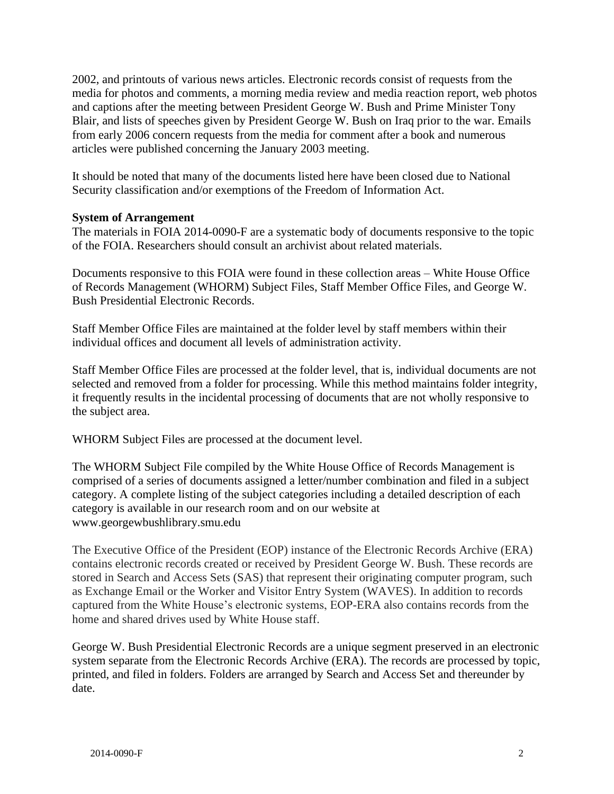media for photos and comments, a morning media review and media reaction report, web photos 2002, and printouts of various news articles. Electronic records consist of requests from the and captions after the meeting between President George W. Bush and Prime Minister Tony Blair, and lists of speeches given by President George W. Bush on Iraq prior to the war. Emails from early 2006 concern requests from the media for comment after a book and numerous articles were published concerning the January 2003 meeting.

It should be noted that many of the documents listed here have been closed due to National Security classification and/or exemptions of the Freedom of Information Act.

#### **System of Arrangement**

 The materials in FOIA 2014-0090-F are a systematic body of documents responsive to the topic of the FOIA. Researchers should consult an archivist about related materials.

Documents responsive to this FOIA were found in these collection areas – White House Office of Records Management (WHORM) Subject Files, Staff Member Office Files, and George W. Bush Presidential Electronic Records.

Staff Member Office Files are maintained at the folder level by staff members within their individual offices and document all levels of administration activity.

Staff Member Office Files are processed at the folder level, that is, individual documents are not selected and removed from a folder for processing. While this method maintains folder integrity, it frequently results in the incidental processing of documents that are not wholly responsive to the subject area.

WHORM Subject Files are processed at the document level.

The WHORM Subject File compiled by the White House Office of Records Management is comprised of a series of documents assigned a letter/number combination and filed in a subject category. A complete listing of the subject categories including a detailed description of each category is available in our research room and on our website at <www.georgewbushlibrary.smu.edu>

The Executive Office of the President (EOP) instance of the Electronic Records Archive (ERA) contains electronic records created or received by President George W. Bush. These records are stored in Search and Access Sets (SAS) that represent their originating computer program, such as Exchange Email or the Worker and Visitor Entry System (WAVES). In addition to records captured from the White House's electronic systems, EOP-ERA also contains records from the home and shared drives used by White House staff.

George W. Bush Presidential Electronic Records are a unique segment preserved in an electronic system separate from the Electronic Records Archive (ERA). The records are processed by topic, printed, and filed in folders. Folders are arranged by Search and Access Set and thereunder by date.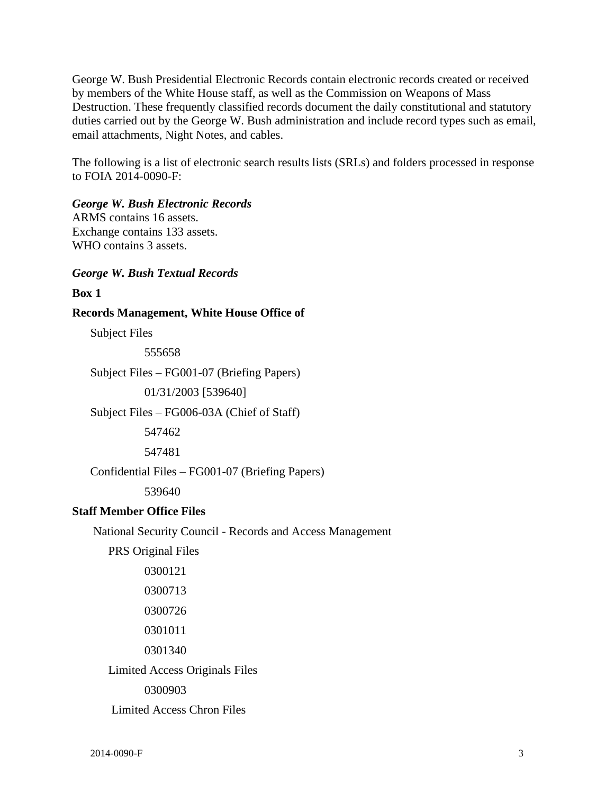George W. Bush Presidential Electronic Records contain electronic records created or received by members of the White House staff, as well as the Commission on Weapons of Mass Destruction. These frequently classified records document the daily constitutional and statutory duties carried out by the George W. Bush administration and include record types such as email, email attachments, Night Notes, and cables.

The following is a list of electronic search results lists (SRLs) and folders processed in response to FOIA 2014-0090-F:

#### *George W. Bush Electronic Records*

ARMS contains 16 assets. Exchange contains 133 assets. WHO contains 3 assets.

#### *George W. Bush Textual Records*

#### **Box 1**

**Records Management, White House Office of** 

Subject Files

555658

Subject Files – FG001-07 (Briefing Papers)

01/31/2003 [539640]

Subject Files – FG006-03A (Chief of Staff)

547462

547481

Confidential Files – FG001-07 (Briefing Papers)

539640

## **Staff Member Office Files**

National Security Council - Records and Access Management

PRS Original Files

0300121 0300713 0300726 0301011 0301340 Limited Access Originals Files 0300903 Limited Access Chron Files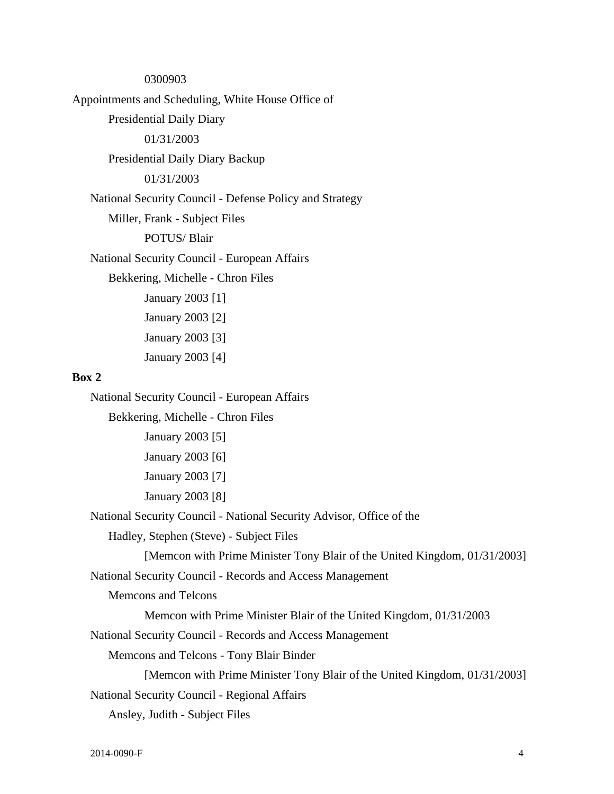0300903 Appointments and Scheduling, White House Office of Presidential Daily Diary 01/31/2003 Presidential Daily Diary Backup 01/31/2003 National Security Council - Defense Policy and Strategy Miller, Frank - Subject Files POTUS/ Blair National Security Council - European Affairs Bekkering, Michelle - Chron Files January 2003 [1] January 2003 [2] January 2003 [3] January 2003 [4]

#### **Box 2**

National Security Council - European Affairs

Bekkering, Michelle - Chron Files

January 2003 [5] January 2003 [6] January 2003 [7] January 2003 [8]

National Security Council - National Security Advisor, Office of the

Hadley, Stephen (Steve) - Subject Files

[Memcon with Prime Minister Tony Blair of the United Kingdom, 01/31/2003]

National Security Council - Records and Access Management

Memcons and Telcons

Memcon with Prime Minister Blair of the United Kingdom, 01/31/2003

National Security Council - Records and Access Management

Memcons and Telcons - Tony Blair Binder

[Memcon with Prime Minister Tony Blair of the United Kingdom, 01/31/2003]

National Security Council - Regional Affairs

Ansley, Judith - Subject Files